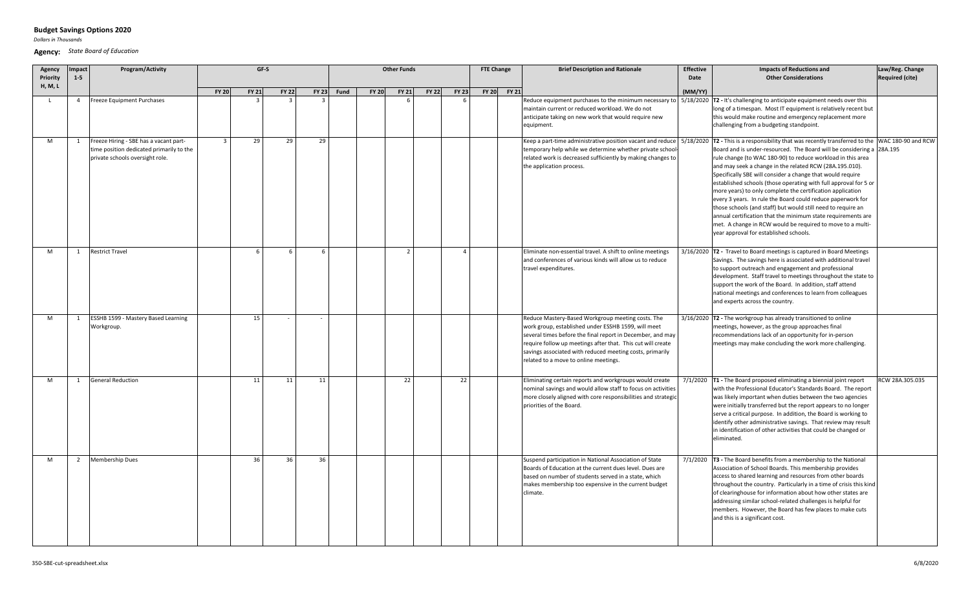# **Budget Savings Options 2020**

*Dollars in Thousands*

 $\sim$ 

#### **Agency:** *State Board of Education*

| Agency<br>Priority | Impact<br>$1 - 5$ | Program/Activity                                                                                                      |                | GF-S         | <b>Other Funds</b> |              |             |              |              | <b>FTE Change</b> |                | <b>Brief Description and Rationale</b> | <b>Effective</b><br>Date | <b>Impacts of Reductions and</b><br><b>Other Considerations</b>                                                                                                                                                                                                                                                                            | Law/Reg. Change<br><b>Required (cite)</b> |                                                                                                                                                                                                                                                                                                                                                                                                                                                                                                                                                                                                                                                                                                                                                                                                   |                 |
|--------------------|-------------------|-----------------------------------------------------------------------------------------------------------------------|----------------|--------------|--------------------|--------------|-------------|--------------|--------------|-------------------|----------------|----------------------------------------|--------------------------|--------------------------------------------------------------------------------------------------------------------------------------------------------------------------------------------------------------------------------------------------------------------------------------------------------------------------------------------|-------------------------------------------|---------------------------------------------------------------------------------------------------------------------------------------------------------------------------------------------------------------------------------------------------------------------------------------------------------------------------------------------------------------------------------------------------------------------------------------------------------------------------------------------------------------------------------------------------------------------------------------------------------------------------------------------------------------------------------------------------------------------------------------------------------------------------------------------------|-----------------|
| H, M, L            |                   |                                                                                                                       | <b>FY 20</b>   | <b>FY 21</b> | <b>FY 22</b>       | <b>FY 23</b> | <b>Fund</b> | <b>FY 20</b> | <b>FY 21</b> | <b>FY 22</b>      | <b>FY 23</b>   |                                        | FY 20 FY 21              |                                                                                                                                                                                                                                                                                                                                            | (MM/YY)                                   |                                                                                                                                                                                                                                                                                                                                                                                                                                                                                                                                                                                                                                                                                                                                                                                                   |                 |
|                    | 4                 | Freeze Equipment Purchases                                                                                            |                |              |                    |              |             |              |              |                   |                |                                        |                          | Reduce equipment purchases to the minimum necessary to<br>maintain current or reduced workload. We do not<br>anticipate taking on new work that would require new<br>equipment.                                                                                                                                                            |                                           | $5/18/2020$ T2 - It's challenging to anticipate equipment needs over this<br>long of a timespan. Most IT equipment is relatively recent but<br>this would make routine and emergency replacement more<br>challenging from a budgeting standpoint.                                                                                                                                                                                                                                                                                                                                                                                                                                                                                                                                                 |                 |
| M                  | 1                 | Freeze Hiring - SBE has a vacant part-<br>time position dedicated primarily to the<br>private schools oversight role. | $\overline{3}$ | 29           | 29                 | 29           |             |              |              |                   |                |                                        |                          | Keep a part-time administrative position vacant and reduce<br>temporary help while we determine whether private school<br>related work is decreased sufficiently by making changes to<br>the application process.                                                                                                                          |                                           | 5/18/2020 T2 - This is a responsibility that was recently transferred to the WAC 180-90 and RCW<br>Board and is under-resourced. The Board will be considering a<br>rule change (to WAC 180-90) to reduce workload in this area<br>and may seek a change in the related RCW (28A.195.010).<br>Specifically SBE will consider a change that would require<br>established schools (those operating with full approval for 5 or<br>more years) to only complete the certification application<br>every 3 years. In rule the Board could reduce paperwork for<br>those schools (and staff) but would still need to require an<br>annual certification that the minimum state requirements are<br>met. A change in RCW would be required to move to a multi-<br>year approval for established schools. | 28A.195         |
| M                  | 1                 | <b>Restrict Travel</b>                                                                                                |                | $\mathsf{f}$ | 6                  | 6            |             |              | 2            |                   | $\overline{4}$ |                                        |                          | Eliminate non-essential travel. A shift to online meetings<br>and conferences of various kinds will allow us to reduce<br>travel expenditures.                                                                                                                                                                                             |                                           | $3/16/2020$ T2 - Travel to Board meetings is captured in Board Meetings<br>Savings. The savings here is associated with additional travel<br>to support outreach and engagement and professional<br>development. Staff travel to meetings throughout the state to<br>support the work of the Board. In addition, staff attend<br>national meetings and conferences to learn from colleagues<br>and experts across the country.                                                                                                                                                                                                                                                                                                                                                                    |                 |
| M                  | 1                 | ESSHB 1599 - Mastery Based Learning<br>Workgroup.                                                                     |                | 15           |                    |              |             |              |              |                   |                |                                        |                          | Reduce Mastery-Based Workgroup meeting costs. The<br>work group, established under ESSHB 1599, will meet<br>several times before the final report in December, and may<br>require follow up meetings after that. This cut will create<br>savings associated with reduced meeting costs, primarily<br>related to a move to online meetings. |                                           | $3/16/2020$ $\overline{12}$ - The workgroup has already transitioned to online<br>meetings, however, as the group approaches final<br>recommendations lack of an opportunity for in-person<br>meetings may make concluding the work more challenging.                                                                                                                                                                                                                                                                                                                                                                                                                                                                                                                                             |                 |
| M                  |                   | <b>General Reduction</b>                                                                                              |                | 11           | 11                 | 11           |             |              | 22           |                   | 22             |                                        |                          | Eliminating certain reports and workgroups would create<br>nominal savings and would allow staff to focus on activities<br>more closely aligned with core responsibilities and strategio<br>priorities of the Board.                                                                                                                       |                                           | 7/1/2020 T1 - The Board proposed eliminating a biennial joint report<br>with the Professional Educator's Standards Board. The report<br>was likely important when duties between the two agencies<br>were initially transferred but the report appears to no longer<br>serve a critical purpose. In addition, the Board is working to<br>identify other administrative savings. That review may result<br>in identification of other activities that could be changed or<br>eliminated.                                                                                                                                                                                                                                                                                                           | RCW 28A.305.035 |
| M                  | $\overline{2}$    | <b>Membership Dues</b>                                                                                                |                | 36           | 36                 | 36           |             |              |              |                   |                |                                        |                          | Suspend participation in National Association of State<br>Boards of Education at the current dues level. Dues are<br>based on number of students served in a state, which<br>makes membership too expensive in the current budget<br>climate.                                                                                              |                                           | $7/1/2020$ $\overline{13}$ - The Board benefits from a membership to the National<br>Association of School Boards. This membership provides<br>access to shared learning and resources from other boards<br>throughout the country. Particularly in a time of crisis this kind<br>of clearinghouse for information about how other states are<br>addressing similar school-related challenges is helpful for<br>members. However, the Board has few places to make cuts<br>and this is a significant cost.                                                                                                                                                                                                                                                                                        |                 |